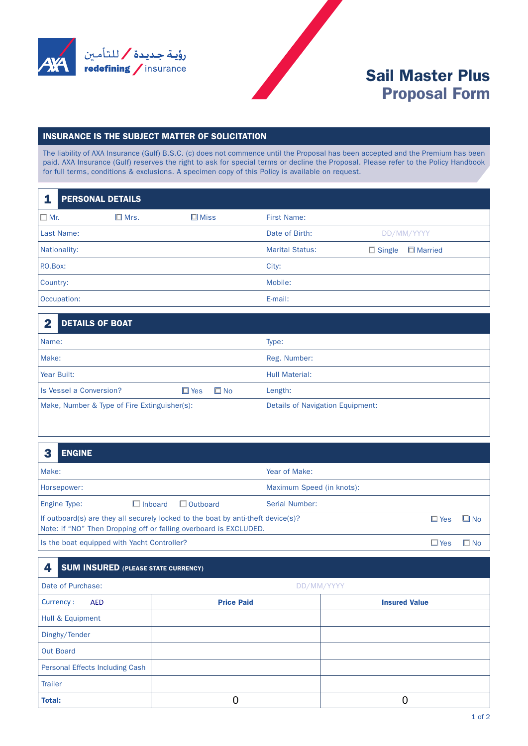

## Sail Master Plus Proposal Form

## INSURANCE IS THE SUBJECT MATTER OF SOLICITATION

The liability of AXA Insurance (Gulf) B.S.C. (c) does not commence until the Proposal has been accepted and the Premium has been paid. AXA Insurance (Gulf) reserves the right to ask for special terms or decline the Proposal. Please refer to the Policy Handbook for full terms, conditions & exclusions. A specimen copy of this Policy is available on request.

| <b>PERSONAL DETAILS</b> |                |                |                        |                                   |  |  |  |
|-------------------------|----------------|----------------|------------------------|-----------------------------------|--|--|--|
| $\square$ Mr.           | $\square$ Mrs. | $\square$ Miss | <b>First Name:</b>     |                                   |  |  |  |
| Last Name:              |                |                | Date of Birth:         | DD/MM/YYYY                        |  |  |  |
| Nationality:            |                |                | <b>Marital Status:</b> | <b>E</b> Married<br>$\Box$ Single |  |  |  |
| P.O.Box:                |                |                | City:                  |                                   |  |  |  |
| Country:                |                |                | Mobile:                |                                   |  |  |  |
| Occupation:             |                |                | E-mail:                |                                   |  |  |  |

| <b>DETAILS OF BOAT</b><br>2                              |                                  |  |
|----------------------------------------------------------|----------------------------------|--|
| Name:                                                    | Type:                            |  |
| Make:                                                    | Reg. Number:                     |  |
| Year Built:                                              | <b>Hull Material:</b>            |  |
| $\square$ No<br>Is Vessel a Conversion?<br>$\square$ Yes | Length:                          |  |
| Make, Number & Type of Fire Extinguisher(s):             | Details of Navigation Equipment: |  |
|                                                          |                                  |  |

|                                                                   | <b>ENGINE</b>                                                                                                  |                                 |
|-------------------------------------------------------------------|----------------------------------------------------------------------------------------------------------------|---------------------------------|
| Make:                                                             |                                                                                                                | Year of Make:                   |
|                                                                   | Horsepower:                                                                                                    | Maximum Speed (in knots):       |
|                                                                   | $\Box$ Inboard<br>$\Box$ Outboard<br>Engine Type:                                                              | Serial Number:                  |
| Note: if "NO" Then Dropping off or falling overboard is EXCLUDED. | If outboard(s) are they all securely locked to the boat by anti-theft device(s)?<br>$\Box$ No<br>$\square$ Yes |                                 |
|                                                                   | Is the boat equipped with Yacht Controller?                                                                    | $\blacksquare$ No<br>$\Box$ Yes |

## **4. SUM INSURED** (PLEASE STATE CURRENCY)

| Date of Purchase:               | DD/MM/YYYY        |                      |  |
|---------------------------------|-------------------|----------------------|--|
| Currency:<br><b>AED</b>         | <b>Price Paid</b> | <b>Insured Value</b> |  |
| Hull & Equipment                |                   |                      |  |
| Dinghy/Tender                   |                   |                      |  |
| <b>Out Board</b>                |                   |                      |  |
| Personal Effects Including Cash |                   |                      |  |
| <b>Trailer</b>                  |                   |                      |  |
| <b>Total:</b>                   | 0                 |                      |  |